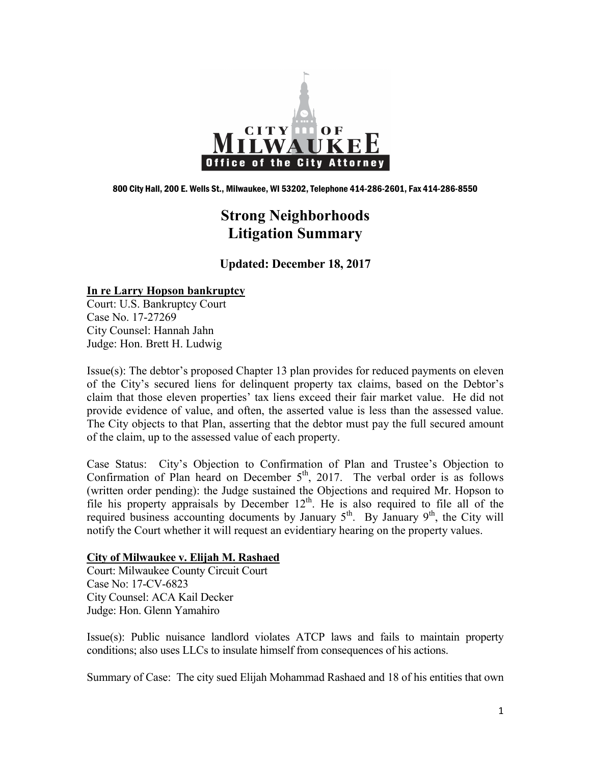

800 City Hall, 200 E. Wells St., Milwaukee, WI 53202, Telephone 414-286-2601, Fax 414-286-8550

# **Strong Neighborhoods Litigation Summary**

**Updated: December 18, 2017**

### **In re Larry Hopson bankruptcy**

Court: U.S. Bankruptcy Court Case No. 17-27269 City Counsel: Hannah Jahn Judge: Hon. Brett H. Ludwig

Issue(s): The debtor's proposed Chapter 13 plan provides for reduced payments on eleven of the City's secured liens for delinquent property tax claims, based on the Debtor's claim that those eleven properties' tax liens exceed their fair market value. He did not provide evidence of value, and often, the asserted value is less than the assessed value. The City objects to that Plan, asserting that the debtor must pay the full secured amount of the claim, up to the assessed value of each property.

Case Status: City's Objection to Confirmation of Plan and Trustee's Objection to Confirmation of Plan heard on December  $5<sup>th</sup>$ , 2017. The verbal order is as follows (written order pending): the Judge sustained the Objections and required Mr. Hopson to file his property appraisals by December  $12<sup>th</sup>$ . He is also required to file all of the required business accounting documents by January  $5<sup>th</sup>$ . By January  $9<sup>th</sup>$ , the City will notify the Court whether it will request an evidentiary hearing on the property values.

#### **City of Milwaukee v. Elijah M. Rashaed**

Court: Milwaukee County Circuit Court Case No: 17-CV-6823 City Counsel: ACA Kail Decker Judge: Hon. Glenn Yamahiro

Issue(s): Public nuisance landlord violates ATCP laws and fails to maintain property conditions; also uses LLCs to insulate himself from consequences of his actions.

Summary of Case: The city sued Elijah Mohammad Rashaed and 18 of his entities that own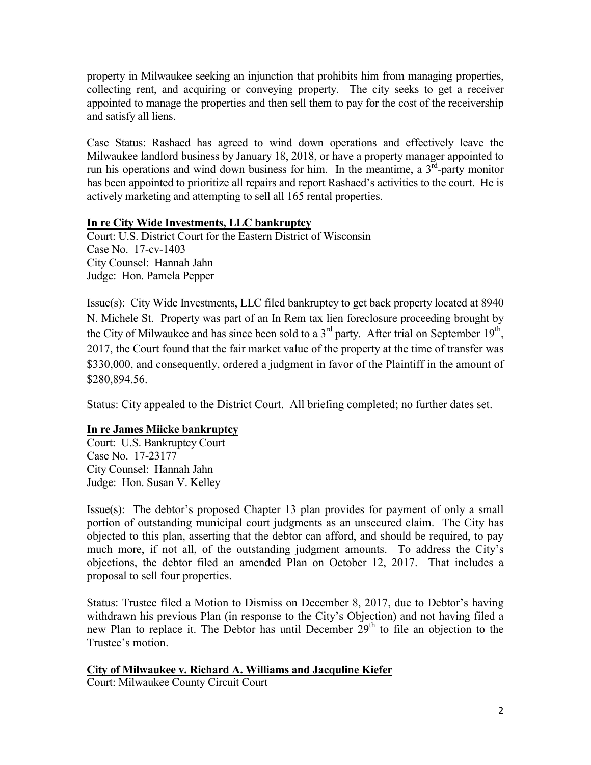property in Milwaukee seeking an injunction that prohibits him from managing properties, collecting rent, and acquiring or conveying property. The city seeks to get a receiver appointed to manage the properties and then sell them to pay for the cost of the receivership and satisfy all liens.

Case Status: Rashaed has agreed to wind down operations and effectively leave the Milwaukee landlord business by January 18, 2018, or have a property manager appointed to run his operations and wind down business for him. In the meantime, a  $3<sup>rd</sup>$ -party monitor has been appointed to prioritize all repairs and report Rashaed's activities to the court. He is actively marketing and attempting to sell all 165 rental properties.

### **In re City Wide Investments, LLC bankruptcy**

Court: U.S. District Court for the Eastern District of Wisconsin Case No. 17-cv-1403 City Counsel: Hannah Jahn Judge: Hon. Pamela Pepper

Issue(s): City Wide Investments, LLC filed bankruptcy to get back property located at 8940 N. Michele St. Property was part of an In Rem tax lien foreclosure proceeding brought by the City of Milwaukee and has since been sold to a 3<sup>rd</sup> party. After trial on September 19<sup>th</sup>, 2017, the Court found that the fair market value of the property at the time of transfer was \$330,000, and consequently, ordered a judgment in favor of the Plaintiff in the amount of \$280,894.56.

Status: City appealed to the District Court. All briefing completed; no further dates set.

## **In re James Miicke bankruptcy**

Court: U.S. Bankruptcy Court Case No. 17-23177 City Counsel: Hannah Jahn Judge: Hon. Susan V. Kelley

Issue(s): The debtor's proposed Chapter 13 plan provides for payment of only a small portion of outstanding municipal court judgments as an unsecured claim. The City has objected to this plan, asserting that the debtor can afford, and should be required, to pay much more, if not all, of the outstanding judgment amounts. To address the City's objections, the debtor filed an amended Plan on October 12, 2017. That includes a proposal to sell four properties.

Status: Trustee filed a Motion to Dismiss on December 8, 2017, due to Debtor's having withdrawn his previous Plan (in response to the City's Objection) and not having filed a new Plan to replace it. The Debtor has until December  $29<sup>th</sup>$  to file an objection to the Trustee's motion.

## **City of Milwaukee v. Richard A. Williams and Jacquline Kiefer**

Court: Milwaukee County Circuit Court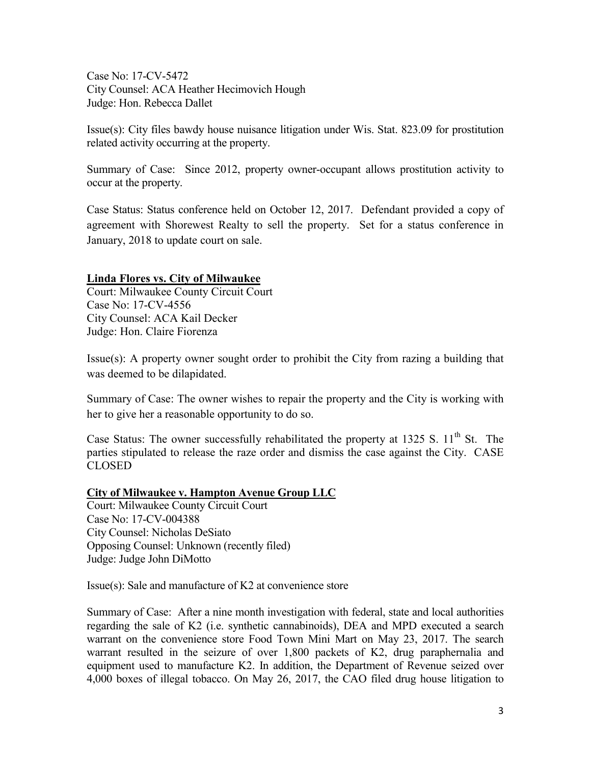Case No: 17-CV-5472 City Counsel: ACA Heather Hecimovich Hough Judge: Hon. Rebecca Dallet

Issue(s): City files bawdy house nuisance litigation under Wis. Stat. 823.09 for prostitution related activity occurring at the property.

Summary of Case: Since 2012, property owner-occupant allows prostitution activity to occur at the property.

Case Status: Status conference held on October 12, 2017. Defendant provided a copy of agreement with Shorewest Realty to sell the property. Set for a status conference in January, 2018 to update court on sale.

### **Linda Flores vs. City of Milwaukee**

Court: Milwaukee County Circuit Court Case No: 17-CV-4556 City Counsel: ACA Kail Decker Judge: Hon. Claire Fiorenza

Issue(s): A property owner sought order to prohibit the City from razing a building that was deemed to be dilapidated.

Summary of Case: The owner wishes to repair the property and the City is working with her to give her a reasonable opportunity to do so.

Case Status: The owner successfully rehabilitated the property at  $1325$  S.  $11<sup>th</sup>$  St. The parties stipulated to release the raze order and dismiss the case against the City. CASE CLOSED

## **City of Milwaukee v. Hampton Avenue Group LLC**

Court: Milwaukee County Circuit Court Case No: 17-CV-004388 City Counsel: Nicholas DeSiato Opposing Counsel: Unknown (recently filed) Judge: Judge John DiMotto

Issue(s): Sale and manufacture of K2 at convenience store

Summary of Case: After a nine month investigation with federal, state and local authorities regarding the sale of K2 (i.e. synthetic cannabinoids), DEA and MPD executed a search warrant on the convenience store Food Town Mini Mart on May 23, 2017. The search warrant resulted in the seizure of over 1,800 packets of K2, drug paraphernalia and equipment used to manufacture K2. In addition, the Department of Revenue seized over 4,000 boxes of illegal tobacco. On May 26, 2017, the CAO filed drug house litigation to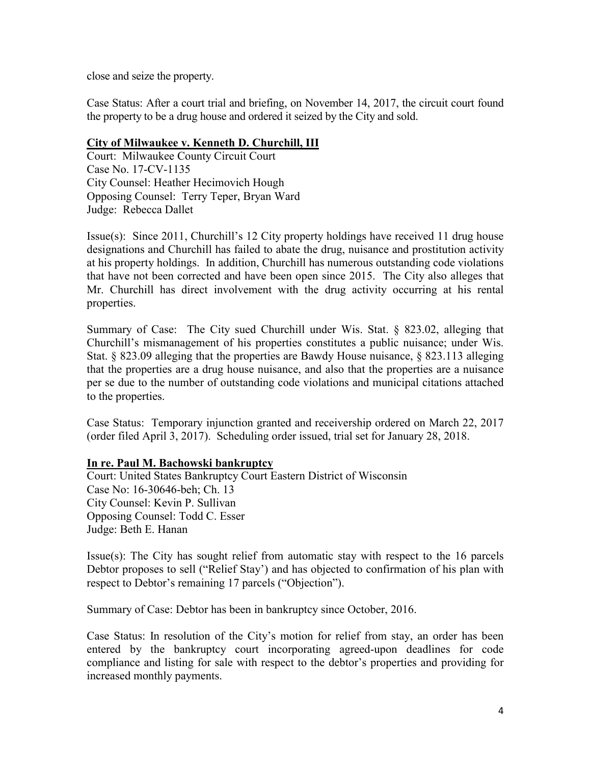close and seize the property.

Case Status: After a court trial and briefing, on November 14, 2017, the circuit court found the property to be a drug house and ordered it seized by the City and sold.

## **City of Milwaukee v. Kenneth D. Churchill, III**

Court: Milwaukee County Circuit Court Case No. 17-CV-1135 City Counsel: Heather Hecimovich Hough Opposing Counsel: Terry Teper, Bryan Ward Judge: Rebecca Dallet

Issue(s): Since 2011, Churchill's 12 City property holdings have received 11 drug house designations and Churchill has failed to abate the drug, nuisance and prostitution activity at his property holdings. In addition, Churchill has numerous outstanding code violations that have not been corrected and have been open since 2015. The City also alleges that Mr. Churchill has direct involvement with the drug activity occurring at his rental properties.

Summary of Case: The City sued Churchill under Wis. Stat. § 823.02, alleging that Churchill's mismanagement of his properties constitutes a public nuisance; under Wis. Stat. § 823.09 alleging that the properties are Bawdy House nuisance, § 823.113 alleging that the properties are a drug house nuisance, and also that the properties are a nuisance per se due to the number of outstanding code violations and municipal citations attached to the properties.

Case Status: Temporary injunction granted and receivership ordered on March 22, 2017 (order filed April 3, 2017). Scheduling order issued, trial set for January 28, 2018.

## **In re. Paul M. Bachowski bankruptcy**

Court: United States Bankruptcy Court Eastern District of Wisconsin Case No: 16-30646-beh; Ch. 13 City Counsel: Kevin P. Sullivan Opposing Counsel: Todd C. Esser Judge: Beth E. Hanan

Issue(s): The City has sought relief from automatic stay with respect to the 16 parcels Debtor proposes to sell ("Relief Stay') and has objected to confirmation of his plan with respect to Debtor's remaining 17 parcels ("Objection").

Summary of Case: Debtor has been in bankruptcy since October, 2016.

Case Status: In resolution of the City's motion for relief from stay, an order has been entered by the bankruptcy court incorporating agreed-upon deadlines for code compliance and listing for sale with respect to the debtor's properties and providing for increased monthly payments.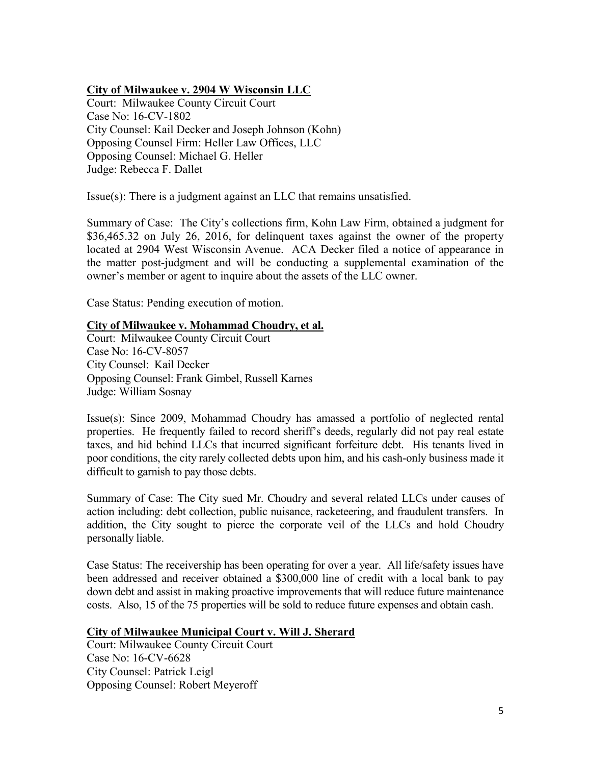## **City of Milwaukee v. 2904 W Wisconsin LLC**

Court: Milwaukee County Circuit Court Case No: 16-CV-1802 City Counsel: Kail Decker and Joseph Johnson (Kohn) Opposing Counsel Firm: Heller Law Offices, LLC Opposing Counsel: Michael G. Heller Judge: Rebecca F. Dallet

Issue(s): There is a judgment against an LLC that remains unsatisfied.

Summary of Case: The City's collections firm, Kohn Law Firm, obtained a judgment for \$36,465.32 on July 26, 2016, for delinquent taxes against the owner of the property located at 2904 West Wisconsin Avenue. ACA Decker filed a notice of appearance in the matter post-judgment and will be conducting a supplemental examination of the owner's member or agent to inquire about the assets of the LLC owner.

Case Status: Pending execution of motion.

### **City of Milwaukee v. Mohammad Choudry, et al.**

Court: Milwaukee County Circuit Court Case No: 16-CV-8057 City Counsel: Kail Decker Opposing Counsel: Frank Gimbel, Russell Karnes Judge: William Sosnay

Issue(s): Since 2009, Mohammad Choudry has amassed a portfolio of neglected rental properties. He frequently failed to record sheriff's deeds, regularly did not pay real estate taxes, and hid behind LLCs that incurred significant forfeiture debt. His tenants lived in poor conditions, the city rarely collected debts upon him, and his cash-only business made it difficult to garnish to pay those debts.

Summary of Case: The City sued Mr. Choudry and several related LLCs under causes of action including: debt collection, public nuisance, racketeering, and fraudulent transfers. In addition, the City sought to pierce the corporate veil of the LLCs and hold Choudry personally liable.

Case Status: The receivership has been operating for over a year. All life/safety issues have been addressed and receiver obtained a \$300,000 line of credit with a local bank to pay down debt and assist in making proactive improvements that will reduce future maintenance costs. Also, 15 of the 75 properties will be sold to reduce future expenses and obtain cash.

## **City of Milwaukee Municipal Court v. Will J. Sherard**

Court: Milwaukee County Circuit Court Case No: 16-CV-6628 City Counsel: Patrick Leigl Opposing Counsel: Robert Meyeroff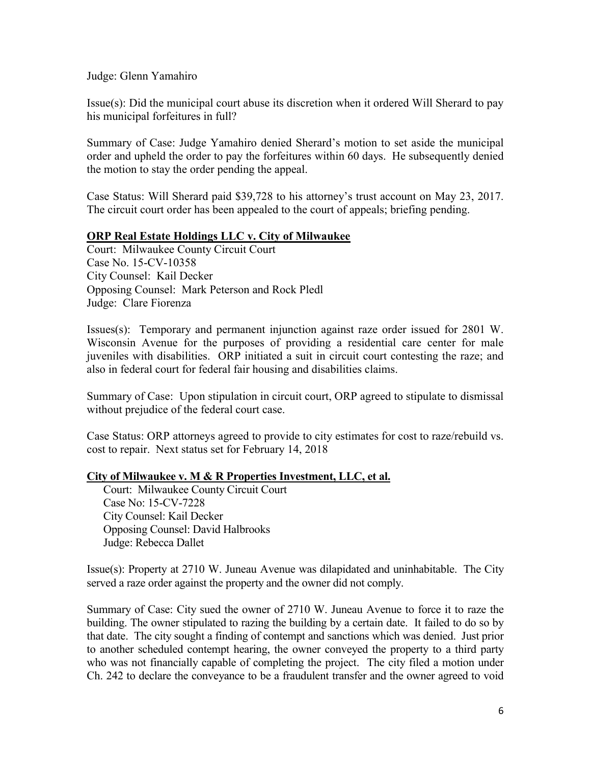Judge: Glenn Yamahiro

Issue(s): Did the municipal court abuse its discretion when it ordered Will Sherard to pay his municipal forfeitures in full?

Summary of Case: Judge Yamahiro denied Sherard's motion to set aside the municipal order and upheld the order to pay the forfeitures within 60 days. He subsequently denied the motion to stay the order pending the appeal.

Case Status: Will Sherard paid \$39,728 to his attorney's trust account on May 23, 2017. The circuit court order has been appealed to the court of appeals; briefing pending.

### **ORP Real Estate Holdings LLC v. City of Milwaukee**

Court: Milwaukee County Circuit Court Case No. 15-CV-10358 City Counsel: Kail Decker Opposing Counsel: Mark Peterson and Rock Pledl Judge: Clare Fiorenza

Issues(s): Temporary and permanent injunction against raze order issued for 2801 W. Wisconsin Avenue for the purposes of providing a residential care center for male juveniles with disabilities. ORP initiated a suit in circuit court contesting the raze; and also in federal court for federal fair housing and disabilities claims.

Summary of Case: Upon stipulation in circuit court, ORP agreed to stipulate to dismissal without prejudice of the federal court case.

Case Status: ORP attorneys agreed to provide to city estimates for cost to raze/rebuild vs. cost to repair. Next status set for February 14, 2018

#### **City of Milwaukee v. M & R Properties Investment, LLC, et al.**

 Court: Milwaukee County Circuit Court Case No: 15-CV-7228 City Counsel: Kail Decker Opposing Counsel: David Halbrooks Judge: Rebecca Dallet

Issue(s): Property at 2710 W. Juneau Avenue was dilapidated and uninhabitable. The City served a raze order against the property and the owner did not comply.

Summary of Case: City sued the owner of 2710 W. Juneau Avenue to force it to raze the building. The owner stipulated to razing the building by a certain date. It failed to do so by that date. The city sought a finding of contempt and sanctions which was denied. Just prior to another scheduled contempt hearing, the owner conveyed the property to a third party who was not financially capable of completing the project. The city filed a motion under Ch. 242 to declare the conveyance to be a fraudulent transfer and the owner agreed to void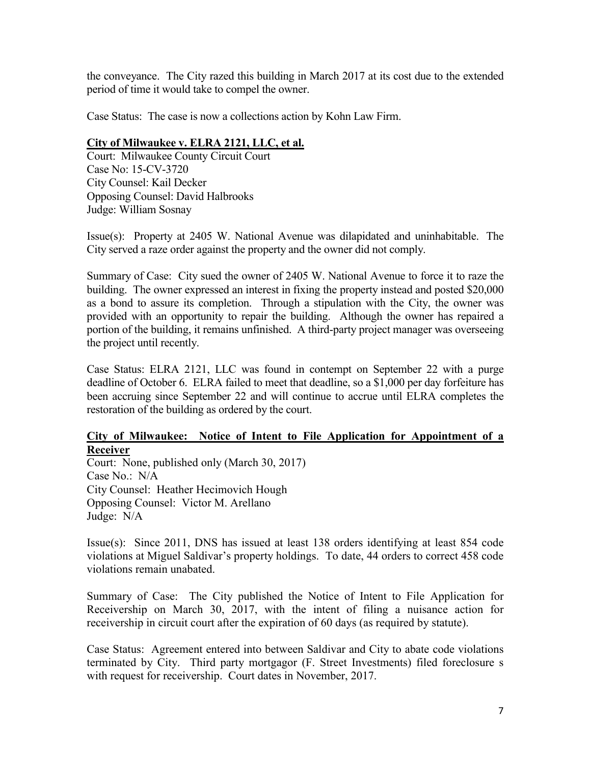the conveyance. The City razed this building in March 2017 at its cost due to the extended period of time it would take to compel the owner.

Case Status: The case is now a collections action by Kohn Law Firm.

# **City of Milwaukee v. ELRA 2121, LLC, et al.**

Court: Milwaukee County Circuit Court Case No: 15-CV-3720 City Counsel: Kail Decker Opposing Counsel: David Halbrooks Judge: William Sosnay

Issue(s): Property at 2405 W. National Avenue was dilapidated and uninhabitable. The City served a raze order against the property and the owner did not comply.

Summary of Case: City sued the owner of 2405 W. National Avenue to force it to raze the building. The owner expressed an interest in fixing the property instead and posted \$20,000 as a bond to assure its completion. Through a stipulation with the City, the owner was provided with an opportunity to repair the building. Although the owner has repaired a portion of the building, it remains unfinished. A third-party project manager was overseeing the project until recently.

Case Status: ELRA 2121, LLC was found in contempt on September 22 with a purge deadline of October 6. ELRA failed to meet that deadline, so a \$1,000 per day forfeiture has been accruing since September 22 and will continue to accrue until ELRA completes the restoration of the building as ordered by the court.

### **City of Milwaukee: Notice of Intent to File Application for Appointment of a Receiver**

Court: None, published only (March 30, 2017) Case No.: N/A City Counsel: Heather Hecimovich Hough Opposing Counsel: Victor M. Arellano Judge: N/A

Issue(s): Since 2011, DNS has issued at least 138 orders identifying at least 854 code violations at Miguel Saldivar's property holdings. To date, 44 orders to correct 458 code violations remain unabated.

Summary of Case: The City published the Notice of Intent to File Application for Receivership on March 30, 2017, with the intent of filing a nuisance action for receivership in circuit court after the expiration of 60 days (as required by statute).

Case Status: Agreement entered into between Saldivar and City to abate code violations terminated by City. Third party mortgagor (F. Street Investments) filed foreclosure s with request for receivership. Court dates in November, 2017.